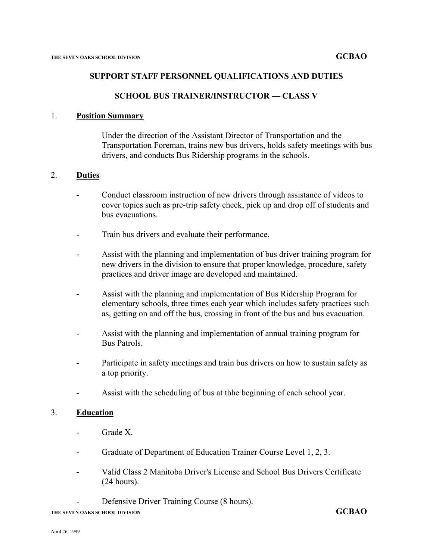### **SUPPORT STAFF PERSONNEL QUALIFICATIONS AND DUTIES**

### **SCHOOL BUS TRAINER/INSTRUCTOR — CLASS V**

### 1. **Position Summary**

Under the direction of the Assistant Director of Transportation and the Transportation Foreman, trains new bus drivers, holds safety meetings with bus drivers, and conducts Bus Ridership programs in the schools.

### 2. **Duties**

- Conduct classroom instruction of new drivers through assistance of videos to cover topics such as pre-trip safety check, pick up and drop off of students and bus evacuations.
- Train bus drivers and evaluate their performance.
- Assist with the planning and implementation of bus driver training program for new drivers in the division to ensure that proper knowledge, procedure, safety practices and driver image are developed and maintained.
- Assist with the planning and implementation of Bus Ridership Program for elementary schools, three times each year which includes safety practices such as, getting on and off the bus, crossing in front of the bus and bus evacuation.
- Assist with the planning and implementation of annual training program for Bus Patrols.
- Participate in safety meetings and train bus drivers on how to sustain safety as a top priority.
- Assist with the scheduling of bus at thhe beginning of each school year.

#### 3. **Education**

- Grade X.
- Graduate of Department of Education Trainer Course Level 1, 2, 3.
- Valid Class 2 Manitoba Driver's License and School Bus Drivers Certificate (24 hours).
	- Defensive Driver Training Course (8 hours).